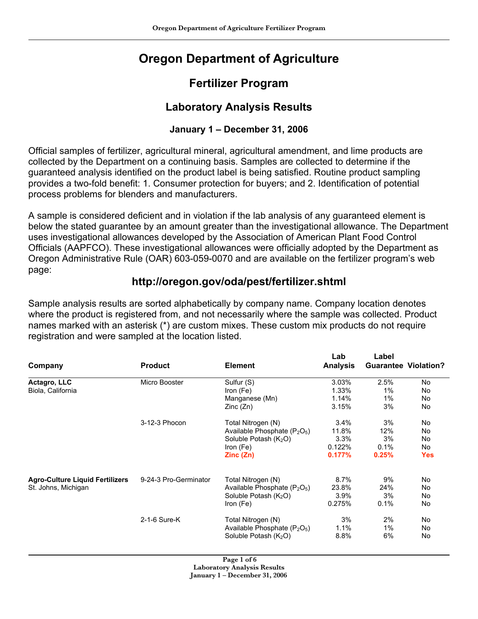# **Oregon Department of Agriculture**

## **Fertilizer Program**

## **Laboratory Analysis Results**

#### **January 1 – December 31, 2006**

Official samples of fertilizer, agricultural mineral, agricultural amendment, and lime products are collected by the Department on a continuing basis. Samples are collected to determine if the guaranteed analysis identified on the product label is being satisfied. Routine product sampling provides a two-fold benefit: 1. Consumer protection for buyers; and 2. Identification of potential process problems for blenders and manufacturers.

A sample is considered deficient and in violation if the lab analysis of any guaranteed element is below the stated guarantee by an amount greater than the investigational allowance. The Department uses investigational allowances developed by the Association of American Plant Food Control Officials (AAPFCO). These investigational allowances were officially adopted by the Department as Oregon Administrative Rule (OAR) 603-059-0070 and are available on the fertilizer program's web page:

### **http://oregon.gov/oda/pest/fertilizer.shtml**

Sample analysis results are sorted alphabetically by company name. Company location denotes where the product is registered from, and not necessarily where the sample was collected. Product names marked with an asterisk (\*) are custom mixes. These custom mix products do not require registration and were sampled at the location listed.

|                                                               |                       |                                                      | Lab             | Label                       |            |
|---------------------------------------------------------------|-----------------------|------------------------------------------------------|-----------------|-----------------------------|------------|
| Company                                                       | <b>Product</b>        | <b>Element</b>                                       | <b>Analysis</b> | <b>Guarantee Violation?</b> |            |
| Actagro, LLC                                                  | Micro Booster         | Sulfur (S)                                           | 3.03%           | 2.5%                        | No.        |
| Biola, California                                             |                       | Iron (Fe)                                            | 1.33%           | 1%                          | No         |
|                                                               |                       | Manganese (Mn)                                       | 1.14%           | 1%                          | No         |
|                                                               |                       | Zinc(Zn)                                             | 3.15%           | 3%                          | No         |
|                                                               | 3-12-3 Phocon         | Total Nitrogen (N)                                   | 3.4%            | 3%                          | No         |
|                                                               |                       | Available Phosphate $(P_2O_5)$                       | 11.8%           | 12%                         | No.        |
|                                                               |                       | Soluble Potash $(K_2O)$                              | 3.3%            | 3%                          | No         |
|                                                               |                       | Iron $(Fe)$                                          | 0.122%          | 0.1%                        | No         |
|                                                               |                       | Zinc(Zn)                                             | 0.177%          | 0.25%                       | <b>Yes</b> |
| <b>Agro-Culture Liquid Fertilizers</b><br>St. Johns, Michigan | 9-24-3 Pro-Germinator | Total Nitrogen (N)                                   | 8.7%            | 9%                          | No         |
|                                                               |                       | Available Phosphate (P <sub>2</sub> O <sub>5</sub> ) | 23.8%           | 24%                         | No         |
|                                                               |                       | Soluble Potash (K <sub>2</sub> O)                    | 3.9%            | 3%                          | No         |
|                                                               |                       | Iron (Fe)                                            | 0.275%          | 0.1%                        | No         |
|                                                               | 2-1-6 Sure-K          | Total Nitrogen (N)                                   | 3%              | 2%                          | No.        |
|                                                               |                       | Available Phosphate $(P_2O_5)$                       | 1.1%            | 1%                          | No         |
|                                                               |                       | Soluble Potash $(K_2O)$                              | 8.8%            | 6%                          | No         |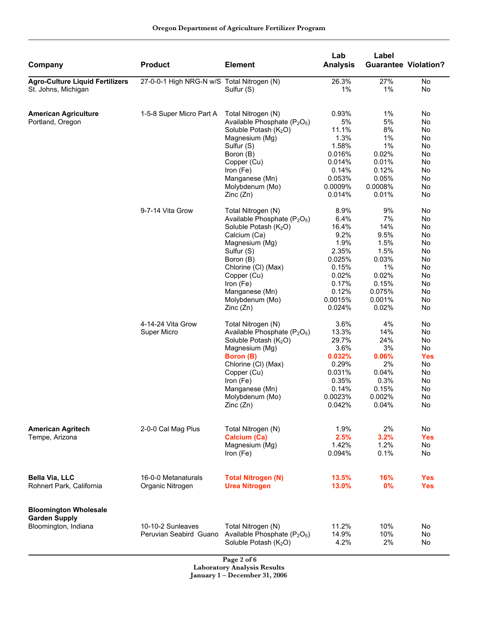| Company                                                                      | <b>Product</b>                              | <b>Element</b>                                                                                                                                                                                                                                                                               | Lab<br><b>Analysis</b>                                                                                                      | Label                                                                                                          | <b>Guarantee Violation?</b>                                                      |
|------------------------------------------------------------------------------|---------------------------------------------|----------------------------------------------------------------------------------------------------------------------------------------------------------------------------------------------------------------------------------------------------------------------------------------------|-----------------------------------------------------------------------------------------------------------------------------|----------------------------------------------------------------------------------------------------------------|----------------------------------------------------------------------------------|
| <b>Agro-Culture Liquid Fertilizers</b><br>St. Johns, Michigan                | 27-0-0-1 High NRG-N w/S Total Nitrogen (N)  | Sulfur (S)                                                                                                                                                                                                                                                                                   | 26.3%<br>1%                                                                                                                 | 27%<br>1%                                                                                                      | No<br>No                                                                         |
| <b>American Agriculture</b><br>Portland, Oregon                              | 1-5-8 Super Micro Part A                    | Total Nitrogen (N)<br>Available Phosphate (P <sub>2</sub> O <sub>5</sub> )<br>Soluble Potash (K <sub>2</sub> O)<br>Magnesium (Mg)<br>Sulfur (S)<br>Boron (B)<br>Copper (Cu)<br>Iron (Fe)<br>Manganese (Mn)<br>Molybdenum (Mo)                                                                | 0.93%<br>5%<br>11.1%<br>1.3%<br>1.58%<br>0.016%<br>0.014%<br>0.14%<br>0.053%<br>0.0009%                                     | 1%<br>5%<br>8%<br>1%<br>1%<br>0.02%<br>0.01%<br>0.12%<br>0.05%<br>0.0008%                                      | No<br>No<br>No<br>No<br>No<br>No<br>No<br>No<br>No<br>No                         |
|                                                                              | 9-7-14 Vita Grow                            | Zinc(Zn)<br>Total Nitrogen (N)<br>Available Phosphate (P <sub>2</sub> O <sub>5</sub> )<br>Soluble Potash (K <sub>2</sub> O)<br>Calcium (Ca)<br>Magnesium (Mg)<br>Sulfur (S)<br>Boron (B)<br>Chlorine (CI) (Max)<br>Copper (Cu)<br>Iron (Fe)<br>Manganese (Mn)<br>Molybdenum (Mo)<br>Zinc(Zn) | 0.014%<br>8.9%<br>6.4%<br>16.4%<br>9.2%<br>1.9%<br>2.35%<br>0.025%<br>0.15%<br>0.02%<br>0.17%<br>0.12%<br>0.0015%<br>0.024% | 0.01%<br>9%<br>7%<br>14%<br>9.5%<br>1.5%<br>1.5%<br>0.03%<br>1%<br>0.02%<br>0.15%<br>0.075%<br>0.001%<br>0.02% | No<br>No<br>No<br>No<br>No<br>No<br>No<br>No<br>No<br>No<br>No<br>No<br>No<br>No |
|                                                                              | 4-14-24 Vita Grow<br>Super Micro            | Total Nitrogen (N)<br>Available Phosphate (P <sub>2</sub> O <sub>5</sub> )<br>Soluble Potash (K <sub>2</sub> O)<br>Magnesium (Mg)<br>Boron (B)<br>Chlorine (CI) (Max)<br>Copper (Cu)<br>Iron (Fe)<br>Manganese (Mn)<br>Molybdenum (Mo)<br>Zinc (Zn)                                          | 3.6%<br>13.3%<br>29.7%<br>3.6%<br>0.032%<br>0.29%<br>0.031%<br>0.35%<br>0.14%<br>0.0023%<br>0.042%                          | 4%<br>14%<br>24%<br>3%<br>0.06%<br>2%<br>0.04%<br>0.3%<br>0.15%<br>0.002%<br>0.04%                             | No<br>No<br>No<br>No<br><b>Yes</b><br>No<br>No<br>No<br>No<br>No<br>No           |
| <b>American Agritech</b><br>Tempe, Arizona                                   | 2-0-0 Cal Mag Plus                          | Total Nitrogen (N)<br><b>Calcium (Ca)</b><br>Magnesium (Mg)<br>Iron (Fe)                                                                                                                                                                                                                     | 1.9%<br>2.5%<br>1.42%<br>0.094%                                                                                             | 2%<br>3.2%<br>1.2%<br>0.1%                                                                                     | No<br><b>Yes</b><br>No<br>No                                                     |
| <b>Bella Via, LLC</b><br>Rohnert Park, California                            | 16-0-0 Metanaturals<br>Organic Nitrogen     | <b>Total Nitrogen (N)</b><br><b>Urea Nitrogen</b>                                                                                                                                                                                                                                            | 13.5%<br>13.0%                                                                                                              | 16%<br>0%                                                                                                      | <b>Yes</b><br><b>Yes</b>                                                         |
| <b>Bloomington Wholesale</b><br><b>Garden Supply</b><br>Bloomington, Indiana | 10-10-2 Sunleaves<br>Peruvian Seabird Guano | Total Nitrogen (N)<br>Available Phosphate (P <sub>2</sub> O <sub>5</sub> )<br>Soluble Potash (K <sub>2</sub> O)<br>P <sub>909</sub> 2 of 6                                                                                                                                                   | 11.2%<br>14.9%<br>4.2%                                                                                                      | 10%<br>10%<br>2%                                                                                               | No<br>No<br>No                                                                   |

 **Page 2 of 6 Laboratory Analysis Results January 1 – December 31, 2006**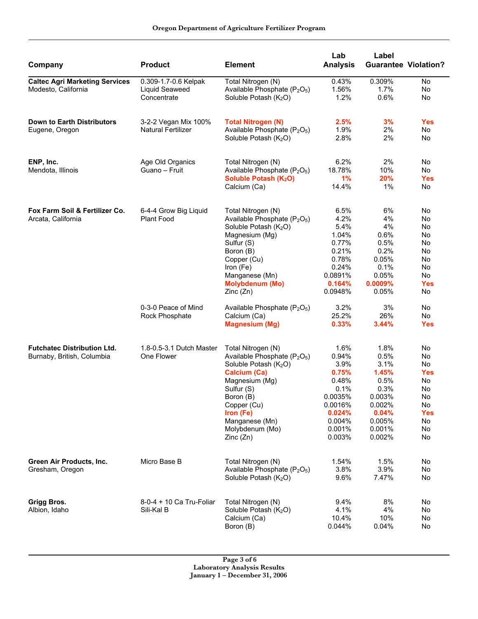| Company                                                          | <b>Product</b>                                        | <b>Element</b>                                                                                                                                                                                                                                                   | Lab<br><b>Analysis</b>                                                                                        | Label<br><b>Guarantee Violation?</b>                                                                     |                                                                                      |
|------------------------------------------------------------------|-------------------------------------------------------|------------------------------------------------------------------------------------------------------------------------------------------------------------------------------------------------------------------------------------------------------------------|---------------------------------------------------------------------------------------------------------------|----------------------------------------------------------------------------------------------------------|--------------------------------------------------------------------------------------|
| <b>Caltec Agri Marketing Services</b><br>Modesto, California     | 0.309-1.7-0.6 Kelpak<br>Liquid Seaweed<br>Concentrate | Total Nitrogen (N)<br>Available Phosphate (P <sub>2</sub> O <sub>5</sub> )<br>Soluble Potash (K <sub>2</sub> O)                                                                                                                                                  | 0.43%<br>1.56%<br>1.2%                                                                                        | 0.309%<br>1.7%<br>0.6%                                                                                   | No<br>No<br>No                                                                       |
| <b>Down to Earth Distributors</b><br>Eugene, Oregon              | 3-2-2 Vegan Mix 100%<br>Natural Fertilizer            | <b>Total Nitrogen (N)</b><br>Available Phosphate (P <sub>2</sub> O <sub>5</sub> )<br>Soluble Potash (K <sub>2</sub> O)                                                                                                                                           | 2.5%<br>1.9%<br>2.8%                                                                                          | 3%<br>2%<br>2%                                                                                           | <b>Yes</b><br>No<br>No                                                               |
| ENP, Inc.<br>Mendota, Illinois                                   | Age Old Organics<br>Guano – Fruit                     | Total Nitrogen (N)<br>Available Phosphate (P <sub>2</sub> O <sub>5</sub> )<br>Soluble Potash (K <sub>2</sub> O)<br>Calcium (Ca)                                                                                                                                  | 6.2%<br>18.78%<br>1%<br>14.4%                                                                                 | 2%<br>10%<br>20%<br>$1\%$                                                                                | No<br>No<br><b>Yes</b><br>No                                                         |
| Fox Farm Soil & Fertilizer Co.<br>Arcata, California             | 6-4-4 Grow Big Liquid<br>Plant Food                   | Total Nitrogen (N)<br>Available Phosphate (P <sub>2</sub> O <sub>5</sub> )<br>Soluble Potash (K <sub>2</sub> O)<br>Magnesium (Mg)<br>Sulfur (S)<br>Boron (B)<br>Copper (Cu)<br>Iron (Fe)<br>Manganese (Mn)<br><b>Molybdenum (Mo)</b><br>Zinc(Zn)                 | 6.5%<br>4.2%<br>5.4%<br>1.04%<br>0.77%<br>0.21%<br>0.78%<br>0.24%<br>0.0891%<br>0.164%<br>0.0948%             | 6%<br>4%<br>4%<br>0.6%<br>0.5%<br>0.2%<br>0.05%<br>0.1%<br>0.05%<br>0.0009%<br>0.05%                     | No<br>No<br>No<br>No<br>No<br>No<br>No<br>No<br>No<br><b>Yes</b><br>No               |
|                                                                  | 0-3-0 Peace of Mind<br>Rock Phosphate                 | Available Phosphate (P <sub>2</sub> O <sub>5</sub> )<br>Calcium (Ca)<br><b>Magnesium (Mg)</b>                                                                                                                                                                    | 3.2%<br>25.2%<br>0.33%                                                                                        | 3%<br>26%<br>3.44%                                                                                       | No<br>No.<br><b>Yes</b>                                                              |
| <b>Futchatec Distribution Ltd.</b><br>Burnaby, British, Columbia | 1.8-0.5-3.1 Dutch Master<br>One Flower                | Total Nitrogen (N)<br>Available Phosphate (P <sub>2</sub> O <sub>5</sub> )<br>Soluble Potash (K <sub>2</sub> O)<br><b>Calcium (Ca)</b><br>Magnesium (Mg)<br>Sulfur (S)<br>Boron (B)<br>Copper (Cu)<br>Iron (Fe)<br>Manganese (Mn)<br>Molybdenum (Mo)<br>Zinc(Zn) | 1.6%<br>0.94%<br>3.9%<br>0.75%<br>0.48%<br>0.1%<br>0.0035%<br>0.0016%<br>0.024%<br>0.004%<br>0.001%<br>0.003% | 1.8%<br>0.5%<br>3.1%<br>1.45%<br>0.5%<br>0.3%<br>0.003%<br>0.002%<br>0.04%<br>0.005%<br>0.001%<br>0.002% | No<br>No<br>No<br><b>Yes</b><br>No<br>No<br>No<br>No<br><b>Yes</b><br>No<br>No<br>No |
| Green Air Products, Inc.<br>Gresham, Oregon                      | Micro Base B                                          | Total Nitrogen (N)<br>Available Phosphate (P <sub>2</sub> O <sub>5</sub> )<br>Soluble Potash (K <sub>2</sub> O)                                                                                                                                                  | 1.54%<br>3.8%<br>9.6%                                                                                         | 1.5%<br>3.9%<br>7.47%                                                                                    | No<br>No<br>No                                                                       |
| <b>Grigg Bros.</b><br>Albion, Idaho                              | 8-0-4 + 10 Ca Tru-Foliar<br>Sili-Kal B                | Total Nitrogen (N)<br>Soluble Potash (K <sub>2</sub> O)<br>Calcium (Ca)<br>Boron (B)                                                                                                                                                                             | 9.4%<br>4.1%<br>10.4%<br>0.044%                                                                               | 8%<br>4%<br>10%<br>0.04%                                                                                 | No<br>No<br>No.<br>No                                                                |

 **Page 3 of 6 Laboratory Analysis Results January 1 – December 31, 2006**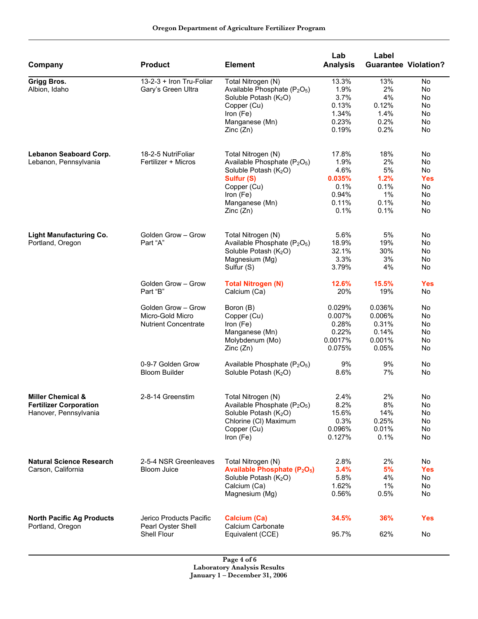| Company                          | <b>Product</b>                                 | <b>Element</b>                                                             | Lab<br><b>Analysis</b> | Label<br><b>Guarantee Violation?</b> |                  |
|----------------------------------|------------------------------------------------|----------------------------------------------------------------------------|------------------------|--------------------------------------|------------------|
| Grigg Bros.<br>Albion, Idaho     | 13-2-3 + Iron Tru-Foliar<br>Gary's Green Ultra | Total Nitrogen (N)<br>Available Phosphate (P <sub>2</sub> O <sub>5</sub> ) | 13.3%<br>1.9%          | 13%<br>2%                            | No<br>No         |
|                                  |                                                | Soluble Potash (K <sub>2</sub> O)                                          | 3.7%                   | 4%                                   | No               |
|                                  |                                                | Copper (Cu)                                                                | 0.13%<br>1.34%         | 0.12%<br>1.4%                        | No<br>No         |
|                                  |                                                | Iron (Fe)<br>Manganese (Mn)                                                | 0.23%                  | 0.2%                                 | No               |
|                                  |                                                | Zinc(Zn)                                                                   | 0.19%                  | 0.2%                                 | No               |
| Lebanon Seaboard Corp.           | 18-2-5 NutriFoliar                             | Total Nitrogen (N)                                                         | 17.8%                  | 18%                                  | No               |
| Lebanon, Pennsylvania            | Fertilizer + Micros                            | Available Phosphate (P <sub>2</sub> O <sub>5</sub> )                       | 1.9%                   | 2%                                   | No               |
|                                  |                                                | Soluble Potash (K <sub>2</sub> O)                                          | 4.6%                   | 5%                                   | No               |
|                                  |                                                | Sulfur (S)                                                                 | 0.035%                 | 1.2%                                 | <b>Yes</b>       |
|                                  |                                                | Copper (Cu)                                                                | 0.1%                   | 0.1%                                 | No               |
|                                  |                                                | Iron (Fe)<br>Manganese (Mn)                                                | 0.94%<br>0.11%         | $1\%$<br>0.1%                        | No<br>No         |
|                                  |                                                | Zinc(Zn)                                                                   | 0.1%                   | 0.1%                                 | No               |
| <b>Light Manufacturing Co.</b>   | Golden Grow - Grow                             | Total Nitrogen (N)                                                         | 5.6%                   | 5%                                   | No               |
| Portland, Oregon                 | Part "A"                                       | Available Phosphate (P <sub>2</sub> O <sub>5</sub> )                       | 18.9%                  | 19%                                  | No               |
|                                  |                                                | Soluble Potash (K <sub>2</sub> O)                                          | 32.1%                  | 30%                                  | No               |
|                                  |                                                | Magnesium (Mg)                                                             | 3.3%                   | 3%                                   | No               |
|                                  |                                                | Sulfur (S)                                                                 | 3.79%                  | 4%                                   | No               |
|                                  | Golden Grow - Grow<br>Part "B"                 | <b>Total Nitrogen (N)</b><br>Calcium (Ca)                                  | 12.6%<br>20%           | 15.5%<br>19%                         | <b>Yes</b><br>No |
|                                  | Golden Grow - Grow                             | Boron (B)                                                                  | 0.029%                 | 0.036%                               | No               |
|                                  | Micro-Gold Micro                               | Copper (Cu)                                                                | 0.007%                 | 0.006%                               | No               |
|                                  | <b>Nutrient Concentrate</b>                    | Iron (Fe)                                                                  | 0.28%                  | 0.31%                                | No               |
|                                  |                                                | Manganese (Mn)                                                             | 0.22%                  | 0.14%                                | No               |
|                                  |                                                | Molybdenum (Mo)                                                            | 0.0017%                | 0.001%                               | No               |
|                                  |                                                | Zinc(Zn)                                                                   | 0.075%                 | 0.05%                                | No               |
|                                  | 0-9-7 Golden Grow<br><b>Bloom Builder</b>      | Available Phosphate $(P_2O_5)$<br>Soluble Potash (K <sub>2</sub> O)        | 9%<br>8.6%             | 9%<br>7%                             | No<br>No         |
| <b>Miller Chemical &amp;</b>     | 2-8-14 Greenstim                               | Total Nitrogen (N)                                                         | 2.4%                   | 2%                                   | No               |
| <b>Fertilizer Corporation</b>    |                                                | Available Phosphate $(P_2O_5)$                                             | 8.2%                   | 8%                                   | No               |
| Hanover, Pennsylvania            |                                                | Soluble Potash (K <sub>2</sub> O)                                          | 15.6%                  | 14%                                  | No.              |
|                                  |                                                | Chlorine (CI) Maximum                                                      | 0.3%                   | 0.25%                                | No               |
|                                  |                                                | Copper (Cu)                                                                | 0.096%                 | 0.01%                                | No.              |
|                                  |                                                | Iron (Fe)                                                                  | 0.127%                 | 0.1%                                 | No.              |
| <b>Natural Science Research</b>  | 2-5-4 NSR Greenleaves                          | Total Nitrogen (N)                                                         | 2.8%                   | 2%                                   | No               |
| Carson, California               | <b>Bloom Juice</b>                             | <b>Available Phosphate (P<sub>2</sub>O<sub>5</sub>)</b>                    | 3.4%                   | 5%                                   | <b>Yes</b>       |
|                                  |                                                | Soluble Potash (K <sub>2</sub> O)                                          | 5.8%                   | 4%                                   | No               |
|                                  |                                                | Calcium (Ca)                                                               | 1.62%                  | $1\%$                                | No               |
|                                  |                                                | Magnesium (Mg)                                                             | 0.56%                  | 0.5%                                 | No.              |
| <b>North Pacific Ag Products</b> | Jerico Products Pacific                        | Calcium (Ca)                                                               | 34.5%                  | 36%                                  | <b>Yes</b>       |
| Portland, Oregon                 | Pearl Oyster Shell<br>Shell Flour              | Calcium Carbonate<br>Equivalent (CCE)                                      | 95.7%                  | 62%                                  | No               |

 **Page 4 of 6 Laboratory Analysis Results January 1 – December 31, 2006**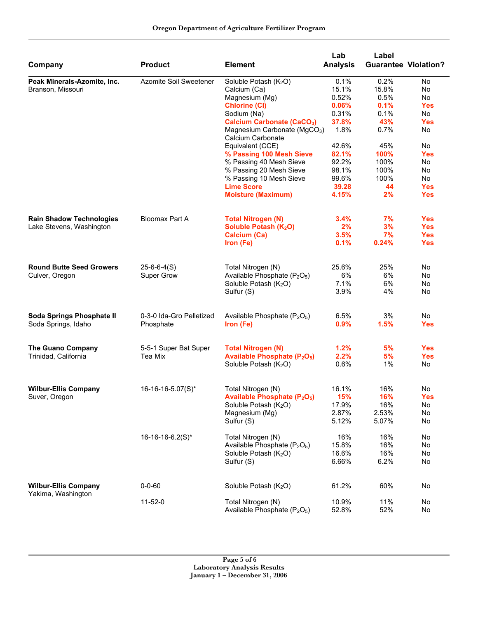| Company                                           | <b>Product</b>           | <b>Element</b>                                                             | Lab<br><b>Analysis</b> | Label<br><b>Guarantee Violation?</b> |            |
|---------------------------------------------------|--------------------------|----------------------------------------------------------------------------|------------------------|--------------------------------------|------------|
| Peak Minerals-Azomite, Inc.                       | Azomite Soil Sweetener   | Soluble Potash (K <sub>2</sub> O)                                          | 0.1%                   | 0.2%                                 | No         |
| Branson, Missouri                                 |                          | Calcium (Ca)                                                               | 15.1%                  | 15.8%                                | No         |
|                                                   |                          | Magnesium (Mg)                                                             | 0.52%                  | 0.5%                                 | No         |
|                                                   |                          | <b>Chlorine (CI)</b>                                                       | 0.06%                  | 0.1%                                 | <b>Yes</b> |
|                                                   |                          | Sodium (Na)                                                                | 0.31%                  | 0.1%                                 | No         |
|                                                   |                          | <b>Calcium Carbonate (CaCO3)</b>                                           | 37.8%                  | 43%                                  | <b>Yes</b> |
|                                                   |                          | Magnesium Carbonate (MgCO <sub>3</sub> )<br>Calcium Carbonate              | 1.8%                   | 0.7%                                 | No         |
|                                                   |                          | Equivalent (CCE)                                                           | 42.6%                  | 45%                                  | <b>No</b>  |
|                                                   |                          | % Passing 100 Mesh Sieve                                                   | 82.1%                  | 100%                                 | <b>Yes</b> |
|                                                   |                          | % Passing 40 Mesh Sieve                                                    | 92.2%                  | 100%                                 | No         |
|                                                   |                          | % Passing 20 Mesh Sieve                                                    | 98.1%                  | 100%                                 | No         |
|                                                   |                          | % Passing 10 Mesh Sieve                                                    | 99.6%                  | 100%                                 | No         |
|                                                   |                          | <b>Lime Score</b>                                                          | 39.28                  | 44                                   | <b>Yes</b> |
|                                                   |                          | <b>Moisture (Maximum)</b>                                                  | 4.15%                  | 2%                                   | <b>Yes</b> |
| <b>Rain Shadow Technologies</b>                   | <b>Bloomax Part A</b>    | <b>Total Nitrogen (N)</b>                                                  | 3.4%                   | 7%                                   | <b>Yes</b> |
| Lake Stevens, Washington                          |                          | Soluble Potash (K <sub>2</sub> O)                                          | 2%                     | 3%                                   | <b>Yes</b> |
|                                                   |                          | <b>Calcium (Ca)</b>                                                        | 3.5%                   | 7%                                   | <b>Yes</b> |
|                                                   |                          | Iron (Fe)                                                                  | 0.1%                   | 0.24%                                | <b>Yes</b> |
| <b>Round Butte Seed Growers</b>                   | $25 - 6 - 6 - 4(S)$      | Total Nitrogen (N)                                                         | 25.6%                  | 25%                                  | No         |
| Culver, Oregon                                    | Super Grow               | Available Phosphate (P <sub>2</sub> O <sub>5</sub> )                       | 6%                     | 6%                                   | No.        |
|                                                   |                          | Soluble Potash (K <sub>2</sub> O)                                          | 7.1%                   | 6%                                   | No         |
|                                                   |                          | Sulfur (S)                                                                 | 3.9%                   | 4%                                   | No         |
| Soda Springs Phosphate II                         | 0-3-0 Ida-Gro Pelletized | Available Phosphate (P <sub>2</sub> O <sub>5</sub> )                       | 6.5%                   | 3%                                   | No         |
| Soda Springs, Idaho                               | Phosphate                | Iron (Fe)                                                                  | 0.9%                   | 1.5%                                 | <b>Yes</b> |
| <b>The Guano Company</b>                          | 5-5-1 Super Bat Super    | <b>Total Nitrogen (N)</b>                                                  | 1.2%                   | 5%                                   | <b>Yes</b> |
| Trinidad, California                              | Tea Mix                  | <b>Available Phosphate (P<sub>2</sub>O<sub>5</sub>)</b>                    | 2.2%                   | 5%                                   | <b>Yes</b> |
|                                                   |                          | Soluble Potash (K <sub>2</sub> O)                                          | 0.6%                   | 1%                                   | No         |
| <b>Wilbur-Ellis Company</b>                       | 16-16-16-5.07(S)*        | Total Nitrogen (N)                                                         | 16.1%                  | 16%                                  | No         |
| Suver, Oregon                                     |                          | <b>Available Phosphate (P<sub>2</sub>O<sub>5</sub>)</b>                    | 15%                    | <b>16%</b>                           | <b>Yes</b> |
|                                                   |                          | Soluble Potash (K <sub>2</sub> O)                                          | 17.9%                  | 16%                                  | No         |
|                                                   |                          | Magnesium (Mg)                                                             | 2.87%                  | 2.53%                                | No         |
|                                                   |                          | Sulfur (S)                                                                 | 5.12%                  | 5.07%                                | No         |
|                                                   | 16-16-16-6.2(S)*         | Total Nitrogen (N)                                                         | 16%                    | 16%                                  | No         |
|                                                   |                          | Available Phosphate (P <sub>2</sub> O <sub>5</sub> )                       | 15.8%                  | 16%                                  | No         |
|                                                   |                          | Soluble Potash (K <sub>2</sub> O)                                          | 16.6%                  | 16%                                  | No         |
|                                                   |                          | Sulfur (S)                                                                 | 6.66%                  | 6.2%                                 | No         |
| <b>Wilbur-Ellis Company</b><br>Yakima, Washington | $0 - 0 - 60$             | Soluble Potash (K <sub>2</sub> O)                                          | 61.2%                  | 60%                                  | No         |
|                                                   | $11 - 52 - 0$            | Total Nitrogen (N)<br>Available Phosphate (P <sub>2</sub> O <sub>5</sub> ) | 10.9%<br>52.8%         | 11%<br>52%                           | No<br>No   |